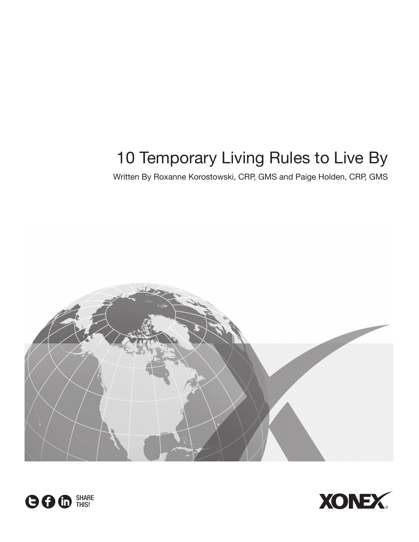# 10 Temporary Living Rules to Live By

Written By Roxanne Korostowski, CRP, GMS and Paige Holden, CRP, GMS





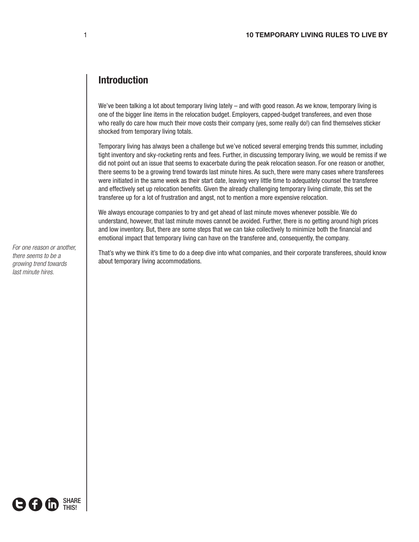## **Introduction**

We've been talking a lot about temporary living lately – and with good reason. As we know, temporary living is one of the bigger line items in the relocation budget. Employers, capped-budget transferees, and even those who really do care how much their move costs their company (yes, some really do!) can find themselves sticker shocked from temporary living totals.

Temporary living has always been a challenge but we've noticed several emerging trends this summer, including tight inventory and sky-rocketing rents and fees. Further, in discussing temporary living, we would be remiss if we did not point out an issue that seems to exacerbate during the peak relocation season. For one reason or another, there seems to be a growing trend towards last minute hires. As such, there were many cases where transferees were initiated in the same week as their start date, leaving very little time to adequately counsel the transferee and effectively set up relocation benefits. Given the already challenging temporary living climate, this set the transferee up for a lot of frustration and angst, not to mention a more expensive relocation.

We always encourage companies to try and get ahead of last minute moves whenever possible. We do understand, however, that last minute moves cannot be avoided. Further, there is no getting around high prices and low inventory. But, there are some steps that we can take collectively to minimize both the financial and emotional impact that temporary living can have on the transferee and, consequently, the company.

That's why we think it's time to do a deep dive into what companies, and their corporate transferees, should know about temporary living accommodations.

*For one reason or another, there seems to be a growing trend towards last minute hires.* 

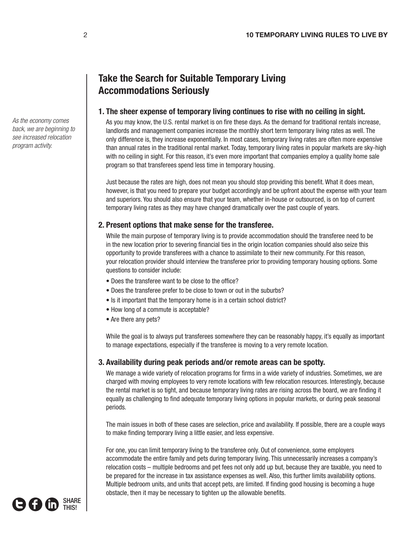## **Take the Search for Suitable Temporary Living Accommodations Seriously**

## **1. The sheer expense of temporary living continues to rise with no ceiling in sight.**

As you may know, the U.S. rental market is on fire these days. As the demand for traditional rentals increase, landlords and management companies increase the monthly short term temporary living rates as well. The only difference is, they increase exponentially. In most cases, temporary living rates are often more expensive than annual rates in the traditional rental market. Today, temporary living rates in popular markets are sky-high with no ceiling in sight. For this reason, it's even more important that companies employ a quality home sale program so that transferees spend less time in temporary housing.

Just because the rates are high, does not mean you should stop providing this benefit. What it does mean, however, is that you need to prepare your budget accordingly and be upfront about the expense with your team and superiors. You should also ensure that your team, whether in-house or outsourced, is on top of current temporary living rates as they may have changed dramatically over the past couple of years.

## **2. Present options that make sense for the transferee.**

While the main purpose of temporary living is to provide accommodation should the transferee need to be in the new location prior to severing financial ties in the origin location companies should also seize this opportunity to provide transferees with a chance to assimilate to their new community. For this reason, your relocation provider should interview the transferee prior to providing temporary housing options. Some questions to consider include:

- Does the transferee want to be close to the office?
- Does the transferee prefer to be close to town or out in the suburbs?
- Is it important that the temporary home is in a certain school district?
- How long of a commute is acceptable?
- Are there any pets?

While the goal is to always put transferees somewhere they can be reasonably happy, it's equally as important to manage expectations, especially if the transferee is moving to a very remote location.

## **3. Availability during peak periods and/or remote areas can be spotty.**

We manage a wide variety of relocation programs for firms in a wide variety of industries. Sometimes, we are charged with moving employees to very remote locations with few relocation resources. Interestingly, because the rental market is so tight, and because temporary living rates are rising across the board, we are finding it equally as challenging to find adequate temporary living options in popular markets, or during peak seasonal periods.

The main issues in both of these cases are selection, price and availability. If possible, there are a couple ways to make finding temporary living a little easier, and less expensive.

For one, you can limit temporary living to the transferee only. Out of convenience, some employers accommodate the entire family and pets during temporary living. This unnecessarily increases a company's relocation costs – multiple bedrooms and pet fees not only add up but, because they are taxable, you need to be prepared for the increase in tax assistance expenses as well. Also, this further limits availability options. Multiple bedroom units, and units that accept pets, are limited. If finding good housing is becoming a huge obstacle, then it may be necessary to tighten up the allowable benefits.



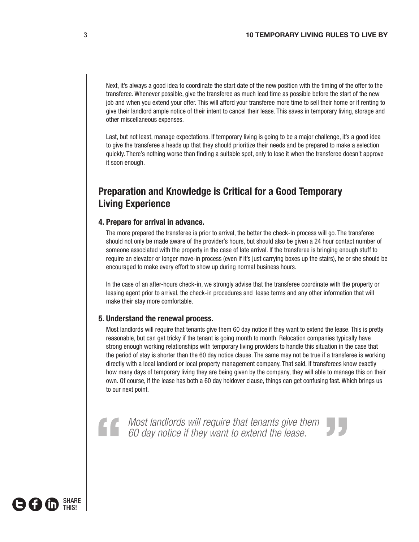Next, it's always a good idea to coordinate the start date of the new position with the timing of the offer to the transferee. Whenever possible, give the transferee as much lead time as possible before the start of the new job and when you extend your offer. This will afford your transferee more time to sell their home or if renting to give their landlord ample notice of their intent to cancel their lease. This saves in temporary living, storage and other miscellaneous expenses.

Last, but not least, manage expectations. If temporary living is going to be a major challenge, it's a good idea to give the transferee a heads up that they should prioritize their needs and be prepared to make a selection quickly. There's nothing worse than finding a suitable spot, only to lose it when the transferee doesn't approve it soon enough.

## **Preparation and Knowledge is Critical for a Good Temporary Living Experience**

#### **4. Prepare for arrival in advance.**

The more prepared the transferee is prior to arrival, the better the check-in process will go. The transferee should not only be made aware of the provider's hours, but should also be given a 24 hour contact number of someone associated with the property in the case of late arrival. If the transferee is bringing enough stuff to require an elevator or longer move-in process (even if it's just carrying boxes up the stairs), he or she should be encouraged to make every effort to show up during normal business hours.

In the case of an after-hours check-in, we strongly advise that the transferee coordinate with the property or leasing agent prior to arrival, the check-in procedures and lease terms and any other information that will make their stay more comfortable.

#### **5. Understand the renewal process.**

Most landlords will require that tenants give them 60 day notice if they want to extend the lease. This is pretty reasonable, but can get tricky if the tenant is going month to month. Relocation companies typically have strong enough working relationships with temporary living providers to handle this situation in the case that the period of stay is shorter than the 60 day notice clause. The same may not be true if a transferee is working directly with a local landlord or local property management company. That said, if transferees know exactly how many days of temporary living they are being given by the company, they will able to manage this on their own. Of course, if the lease has both a 60 day holdover clause, things can get confusing fast. Which brings us to our next point.

*Most landlords will require that tenants give them 60 day notice if they want to extend the lease.*  Most landlords will require that tenants give them<br>60 day notice if they want to extend the lease.

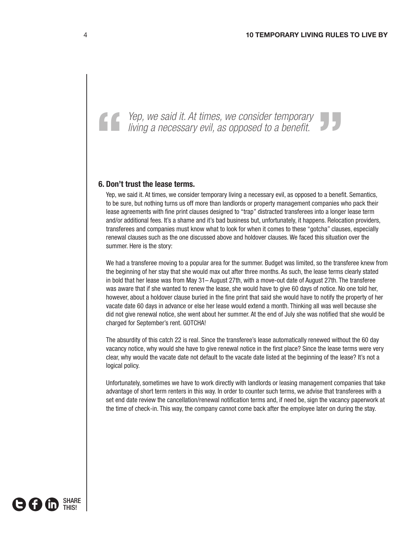## **6. Don't trust the lease terms.**

Yep, we said it. At times, we consider temporary living a necessary evil, as opposed to a benefit. Semantics, to be sure, but nothing turns us off more than landlords or property management companies who pack their lease agreements with fine print clauses designed to "trap" distracted transferees into a longer lease term and/or additional fees. It's a shame and it's bad business but, unfortunately, it happens. Relocation providers, transferees and companies must know what to look for when it comes to these "gotcha" clauses, especially renewal clauses such as the one discussed above and holdover clauses. We faced this situation over the summer. Here is the story:

*Yep, we said it. At times, we consider temporary living a necessary evil, as opposed to a benefit.*  " Yep, we said it. At times, we consider temporary living a necessary evil, as opposed to a benefit.

We had a transferee moving to a popular area for the summer. Budget was limited, so the transferee knew from the beginning of her stay that she would max out after three months. As such, the lease terms clearly stated in bold that her lease was from May 31– August 27th, with a move-out date of August 27th. The transferee was aware that if she wanted to renew the lease, she would have to give 60 days of notice. No one told her, however, about a holdover clause buried in the fine print that said she would have to notify the property of her vacate date 60 days in advance or else her lease would extend a month. Thinking all was well because she did not give renewal notice, she went about her summer. At the end of July she was notified that she would be charged for September's rent. GOTCHA!

The absurdity of this catch 22 is real. Since the transferee's lease automatically renewed without the 60 day vacancy notice, why would she have to give renewal notice in the first place? Since the lease terms were very clear, why would the vacate date not default to the vacate date listed at the beginning of the lease? It's not a logical policy.

Unfortunately, sometimes we have to work directly with landlords or leasing management companies that take advantage of short term renters in this way. In order to counter such terms, we advise that transferees with a set end date review the cancellation/renewal notification terms and, if need be, sign the vacancy paperwork at the time of check-in. This way, the company cannot come back after the employee later on during the stay.

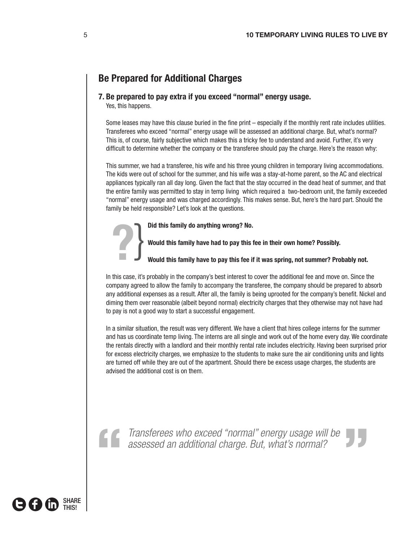## **Be Prepared for Additional Charges**

#### **7. Be prepared to pay extra if you exceed "normal" energy usage.**

Yes, this happens.

Some leases may have this clause buried in the fine print – especially if the monthly rent rate includes utilities. Transferees who exceed "normal" energy usage will be assessed an additional charge. But, what's normal? This is, of course, fairly subjective which makes this a tricky fee to understand and avoid. Further, it's very difficult to determine whether the company or the transferee should pay the charge. Here's the reason why:

This summer, we had a transferee, his wife and his three young children in temporary living accommodations. The kids were out of school for the summer, and his wife was a stay-at-home parent, so the AC and electrical appliances typically ran all day long. Given the fact that the stay occurred in the dead heat of summer, and that the entire family was permitted to stay in temp living which required a two-bedroom unit, the family exceeded "normal" energy usage and was charged accordingly. This makes sense. But, here's the hard part. Should the family be held responsible? Let's look at the questions.

**Did this family do anything wrong? No.** 



 **Would this family have had to pay this fee in their own home? Possibly.** 

 **Would this family have to pay this fee if it was spring, not summer? Probably not.** 

In this case, it's probably in the company's best interest to cover the additional fee and move on. Since the company agreed to allow the family to accompany the transferee, the company should be prepared to absorb any additional expenses as a result. After all, the family is being uprooted for the company's benefit. Nickel and diming them over reasonable (albeit beyond normal) electricity charges that they otherwise may not have had to pay is not a good way to start a successful engagement.

In a similar situation, the result was very different. We have a client that hires college interns for the summer and has us coordinate temp living. The interns are all single and work out of the home every day. We coordinate the rentals directly with a landlord and their monthly rental rate includes electricity. Having been surprised prior for excess electricity charges, we emphasize to the students to make sure the air conditioning units and lights are turned off while they are out of the apartment. Should there be excess usage charges, the students are advised the additional cost is on them.

*Transferees who exceed "normal" energy usage will be assessed an additional charge. But, what's normal?* Transferees who exceed "normal" energy usage will be assessed an additional charge. But, what's normal?

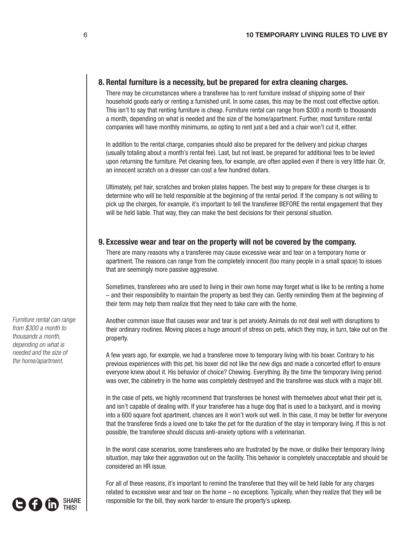### **8. Rental furniture is a necessity, but be prepared for extra cleaning charges.**

There may be circumstances where a transferee has to rent furniture instead of shipping some of their household goods early or renting a furnished unit. In some cases, this may be the most cost effective option. This isn't to say that renting furniture is cheap. Furniture rental can range from \$300 a month to thousands a month, depending on what is needed and the size of the home/apartment. Further, most furniture rental companies will have monthly minimums, so opting to rent just a bed and a chair won't cut it, either.

In addition to the rental charge, companies should also be prepared for the delivery and pickup charges (usually totaling about a month's rental fee). Last, but not least, be prepared for additional fees to be levied upon returning the furniture. Pet cleaning fees, for example, are often applied even if there is very little hair. Or, an innocent scratch on a dresser can cost a few hundred dollars.

Ultimately, pet hair, scratches and broken plates happen. The best way to prepare for these charges is to determine who will be held responsible at the beginning of the rental period. If the company is not willing to pick up the charges, for example, it's important to tell the transferee BEFORE the rental engagement that they will be held liable. That way, they can make the best decisions for their personal situation.

#### **9. Excessive wear and tear on the property will not be covered by the company.**

There are many reasons why a transferee may cause excessive wear and tear on a temporary home or apartment. The reasons can range from the completely innocent (too many people in a small space) to issues that are seemingly more passive aggressive.

Sometimes, transferees who are used to living in their own home may forget what is like to be renting a home – and their responsibility to maintain the property as best they can. Gently reminding them at the beginning of their term may help them realize that they need to take care with the home.

Another common issue that causes wear and tear is pet anxiety. Animals do not deal well with disruptions to their ordinary routines. Moving places a huge amount of stress on pets, which they may, in turn, take out on the property.

A few years ago, for example, we had a transferee move to temporary living with his boxer. Contrary to his previous experiences with this pet, his boxer did not like the new digs and made a concerted effort to ensure everyone knew about it. His behavior of choice? Chewing. Everything. By the time the temporary living period was over, the cabinetry in the home was completely destroyed and the transferee was stuck with a major bill.

In the case of pets, we highly recommend that transferees be honest with themselves about what their pet is, and isn't capable of dealing with. If your transferee has a huge dog that is used to a backyard, and is moving into a 600 square foot apartment, chances are it won't work out well. In this case, it may be better for everyone that the transferee finds a loved one to take the pet for the duration of the stay in temporary living. If this is not possible, the transferee should discuss anti-anxiety options with a veterinarian.

In the worst case scenarios, some transferees who are frustrated by the move, or dislike their temporary living situation, may take their aggravation out on the facility. This behavior is completely unacceptable and should be considered an HR issue.

For all of these reasons, it's important to remind the transferee that they will be held liable for any charges related to excessive wear and tear on the home – no exceptions. Typically, when they realize that they will be responsible for the bill, they work harder to ensure the property's upkeep.

*Furniture rental can range from \$300 a month to thousands a month, depending on what is needed and the size of the home/apartment.*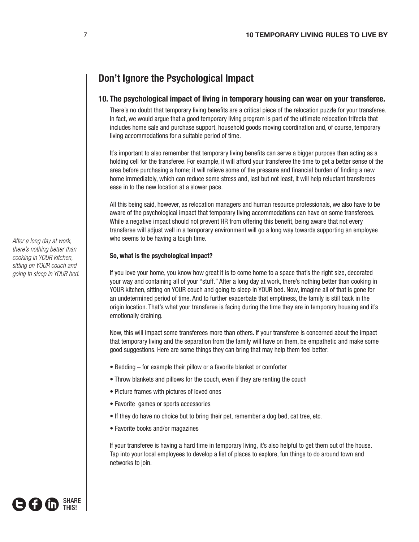## **Don't Ignore the Psychological Impact**

## **10. The psychological impact of living in temporary housing can wear on your transferee.**

There's no doubt that temporary living benefits are a critical piece of the relocation puzzle for your transferee. In fact, we would argue that a good temporary living program is part of the ultimate relocation trifecta that includes home sale and purchase support, household goods moving coordination and, of course, temporary living accommodations for a suitable period of time.

It's important to also remember that temporary living benefits can serve a bigger purpose than acting as a holding cell for the transferee. For example, it will afford your transferee the time to get a better sense of the area before purchasing a home; it will relieve some of the pressure and financial burden of finding a new home immediately, which can reduce some stress and, last but not least, it will help reluctant transferees ease in to the new location at a slower pace.

All this being said, however, as relocation managers and human resource professionals, we also have to be aware of the psychological impact that temporary living accommodations can have on some transferees. While a negative impact should not prevent HR from offering this benefit, being aware that not every transferee will adjust well in a temporary environment will go a long way towards supporting an employee who seems to be having a tough time.

#### **So, what is the psychological impact?**

If you love your home, you know how great it is to come home to a space that's the right size, decorated your way and containing all of your "stuff." After a long day at work, there's nothing better than cooking in YOUR kitchen, sitting on YOUR couch and going to sleep in YOUR bed. Now, imagine all of that is gone for an undetermined period of time. And to further exacerbate that emptiness, the family is still back in the origin location. That's what your transferee is facing during the time they are in temporary housing and it's emotionally draining.

Now, this will impact some transferees more than others. If your transferee is concerned about the impact that temporary living and the separation from the family will have on them, be empathetic and make some good suggestions. Here are some things they can bring that may help them feel better:

- Bedding for example their pillow or a favorite blanket or comforter
- Throw blankets and pillows for the couch, even if they are renting the couch
- Picture frames with pictures of loved ones
- Favorite games or sports accessories
- If they do have no choice but to bring their pet, remember a dog bed, cat tree, etc.
- Favorite books and/or magazines

If your transferee is having a hard time in temporary living, it's also helpful to get them out of the house. Tap into your local employees to develop a list of places to explore, fun things to do around town and networks to join.



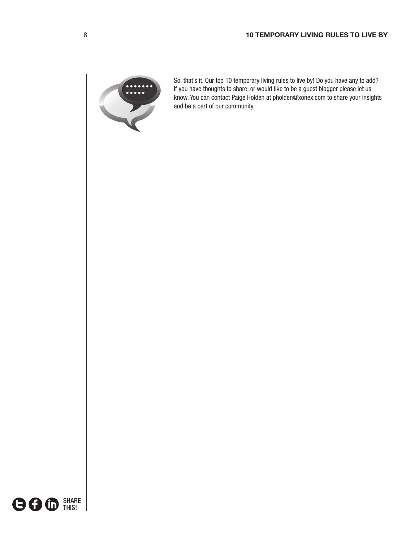

So, that's it. Our top 10 temporary living rules to live by! Do you have any to add? If you have thoughts to share, or would like to be a guest blogger please let us know. You can contact Paige Holden at pholden@xonex.com to share your insights and be a part of our community.